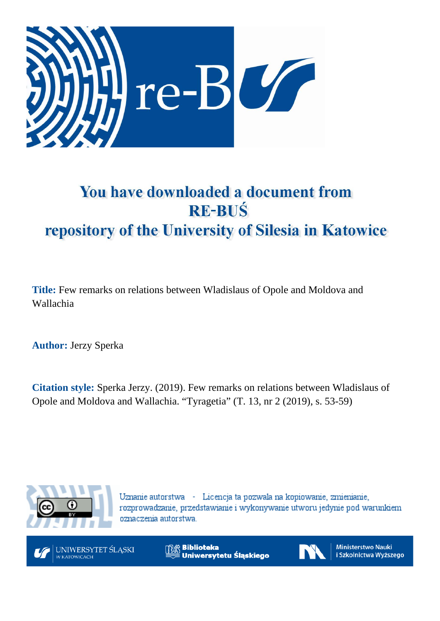

# You have downloaded a document from **RE-BUŚ** repository of the University of Silesia in Katowice

**Title:** Few remarks on relations between Wladislaus of Opole and Moldova and Wallachia

**Author:** Jerzy Sperka

**Citation style:** Sperka Jerzy. (2019). Few remarks on relations between Wladislaus of Opole and Moldova and Wallachia. "Tyragetia" (T. 13, nr 2 (2019), s. 53-59)



Uznanie autorstwa - Licencja ta pozwala na kopiowanie, zmienianie, rozprowadzanie, przedstawianie i wykonywanie utworu jedynie pod warunkiem oznaczenia autorstwa.



UNIWERSYTET ŚLĄSKI W KATOWICACH

**Biblioteka** Uniwersytetu Śląskiego



Ministerstwo Nauki i Szkolnictwa Wyższego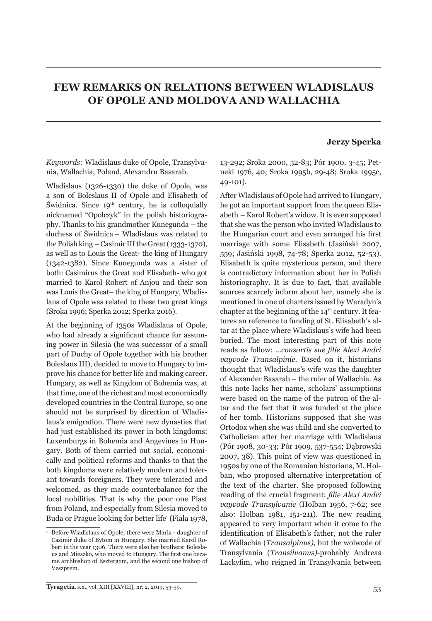# **FEW REMARKS ON RELATIONS BETWEEN WLADISLAUS OF OPOLE AND MOLDOVA AND WALLACHIA**

# **Jerzy Sperka**

*Keywords:* Wladislaus duke of Opole, Transylvania, Wallachia, Poland, Alexandru Basarab.

Wladislaus (1326-1330) the duke of Opole, was a son of Boleslaus II of Opole and Elisabeth of Świdnica. Since  $19<sup>th</sup>$  century, he is colloquially nicknamed "Opolczyk" in the polish historiography. Thanks to his grandmother Kunegunda – the duchess of Świdnica – Wladislaus was related to the Polish king – Casimir III the Great (1333-1370), as well as to Louis the Great- the king of Hungary (1342-1382). Since Kunegunda was a sister of both: Casimirus the Great and Elisabeth- who got married to Karol Robert of Anjou and their son was Louis the Great– the king of Hungary, Wladislaus of Opole was related to these two great kings (Sroka 1996; Sperka 2012; Sperka 2016).

At the beginning of 1350s Wladislaus of Opole, who had already a significant chance for assuming power in Silesia (he was successor of a small part of Duchy of Opole together with his brother Boleslaus III), decided to move to Hungary to improve his chance for better life and making career. Hungary, as well as Kingdom of Bohemia was, at that time, one of the richest and most economically developed countries in the Central Europe, so one should not be surprised by direction of Wladislaus's emigration. There were new dynasties that had just established its power in both kingdoms: Luxemburgs in Bohemia and Angevines in Hungary. Both of them carried out social, economically and political reforms and thanks to that the both kingdoms were relatively modern and tolerant towards foreigners. They were tolerated and welcomed, as they made counterbalance for the local nobilities. That is why the poor one Piast from Poland, and especially from Silesia moved to Buda or Prague looking for better life<sup>1</sup> (Fiala 1978, 13-292; Sroka 2000, 52-83; Pór 1900, 3-45; Petneki 1976, 40; Sroka 1995b, 29-48; Sroka 1995c, 49-101).

After Wladislaus of Opole had arrived to Hungary, he got an important support from the queen Elisabeth – Karol Robert's widow. It is even supposed that she was the person who invited Wladislaus to the Hungarian court and even arranged his first marriage with some Elisabeth (Jasiński 2007, 559; Jasiński 1998, 74-78; Sperka 2012, 52-53). Elisabeth is quite mysterious person, and there is contradictory information about her in Polish historiography. It is due to fact, that available sources scarcely inform about her, namely she is mentioned in one of charters issued by Waradyn's chapter at the beginning of the  $14<sup>th</sup>$  century. It features an reference to funding of St. Elisabeth's altar at the place where Wladislaus's wife had been buried. The most interesting part of this note reads as follow: ...*consortis sue filie Alexi Andri vayvode Transalpinie*. Based on it, historians thought that Wladislaus's wife was the daughter of Alexander Basarab – the ruler of Wallachia. As this note lacks her name, scholars' assumptions were based on the name of the patron of the altar and the fact that it was funded at the place of her tomb. Historians supposed that she was Ortodox when she was child and she converted to Catholicism after her marriage with Wladislaus (Pór 1908, 30-33; Pór 1909, 537-554; Dąbrowski 2007, 38). This point of view was questioned in 1950s by one of the Romanian historians, M. Holban, who proposed alternative interpretation of the text of the charter. She proposed following reading of the crucial fragment: *filie Alexi Andri vayvode Transylvanie* (Holban 1956, 7-62; see also: Holban 1981, 151-211). The new reading appeared to very important when it come to the identification of Elisabeth's father, not the ruler of Wallachia (*Transalpinus),* but the woiwode of Transylvania (*Transilvanus)-*probably Andreas Lackyfim, who reigned in Transylvania between

<sup>1</sup> Before Wladislaus of Opole, there were Maria - daughter of Casimir duke of Bytom in Hungary. She married Karol Robert in the year 1306. There were also her brothers: Boleslaus and Mieszko, who moved to Hungary. The first one became archbishop of Esztergom, and the second one bishop of Veszprem.

**Tyragetia**, s.n., vol. XIII [XXVIII], nr. 2, 2019, 53-59.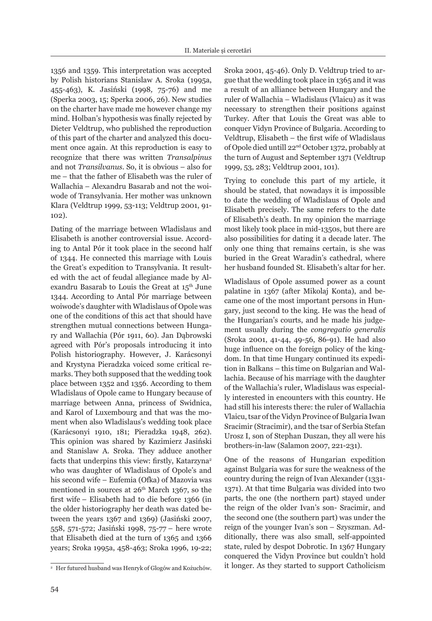1356 and 1359. This interpretation was accepted by Polish historians Stanislaw A. Sroka (1995a, 455-463), K. Jasiński (1998*,* 75-76) and me (Sperka 2003, 15; Sperka 2006, 26). New studies on the charter have made me however change my mind. Holban's hypothesis was finally rejected by Dieter Veldtrup, who published the reproduction of this part of the charter and analyzed this document once again. At this reproduction is easy to recognize that there was written *Transalpinus* and not *Transilvanus*. So, it is obvious – also for me – that the father of Elisabeth was the ruler of Wallachia – Alexandru Basarab and not the woiwode of Transylvania. Her mother was unknown Klara (Veldtrup 1999, 53-113; Veldtrup 2001, 91- 102).

Dating of the marriage between Wladislaus and Elisabeth is another controversial issue. According to Antal Pór it took place in the second half of 1344. He connected this marriage with Louis the Great's expedition to Transylvania. It resulted with the act of feudal allegiance made by Alexandru Basarab to Louis the Great at  $15<sup>th</sup>$  June 1344. According to Antal Pór marriage between woiwode's daughter with Wladislaus of Opole was one of the conditions of this act that should have strengthen mutual connections between Hungary and Wallachia (Pór 1911, 60). Jan Dąbrowski agreed with Pór's proposals introducing it into Polish historiography. However, J. Karácsonyi and Krystyna Pieradzka voiced some critical remarks. They both supposed that the wedding took place between 1352 and 1356. According to them Wladislaus of Opole came to Hungary because of marriage between Anna, princess of Swidnica, and Karol of Luxembourg and that was the moment when also Wladislaus's wedding took place (Karácsonyi 1910, 181; Pieradzka 1948, 262). This opinion was shared by Kazimierz Jasiński and Stanislaw A. Sroka. They adduce another facts that underpins this view: firstly, Katarzyna<sup>2</sup> who was daughter of Wladislaus of Opole's and his second wife – Eufemia (Ofka) of Mazovia was mentioned in sources at  $26<sup>th</sup>$  March 1367, so the first wife – Elisabeth had to die before 1366 (in the older historiography her death was dated between the years 1367 and 1369) (Jasiński 2007, 558, 571-572; Jasiński 1998, 75-77 – here wrote that Elisabeth died at the turn of 1365 and 1366 years; Sroka 1995a, 458-463; Sroka 1996, 19-22; Sroka 2001, 45-46). Only D. Veldtrup tried to argue that the wedding took place in 1365 and it was a result of an alliance between Hungary and the ruler of Wallachia – Wladislaus (Vlaicu) as it was necessary to strengthen their positions against Turkey. After that Louis the Great was able to conquer Vidyn Province of Bulgaria. According to Veldtrup, Elisabeth – the first wife of Wladislaus of Opole died untill 22nd October 1372, probably at the turn of August and September 1371 (Veldtrup 1999, 53, 283; Veldtrup 2001, 101).

Trying to conclude this part of my article, it should be stated, that nowadays it is impossible to date the wedding of Wladislaus of Opole and Elisabeth precisely. The same refers to the date of Elisabeth's death. In my opinion the marriage most likely took place in mid-1350s, but there are also possibilities for dating it a decade later. The only one thing that remains certain, is she was buried in the Great Waradin's cathedral, where her husband founded St. Elisabeth's altar for her.

Wladislaus of Opole assumed power as a count palatine in 1367 (after Mikolaj Konta), and became one of the most important persons in Hungary, just second to the king. He was the head of the Hungarian's courts, and he made his judgement usually during the *congregatio generalis*  (Sroka 2001, 41-44, 49-56, 86-91). He had also huge influence on the foreign policy of the kingdom. In that time Hungary continued its expedition in Balkans – this time on Bulgarian and Wallachia. Because of his marriage with the daughter of the Wallachia's ruler, Wladislaus was especially interested in encounters with this country. He had still his interests there: the ruler of Wallachia Vlaicu, tsar of the Vidyn Province of Bulgaria Iwan Sracimir (Stracimir), and the tsar of Serbia Stefan Urosz I, son of Stephan Duszan, they all were his brothers-in-law (Salamon 2007, 221-231).

One of the reasons of Hungarian expedition against Bulgaria was for sure the weakness of the country during the reign of Ivan Alexander (1331- 1371). At that time Bulgaria was divided into two parts, the one (the northern part) stayed under the reign of the older Ivan's son- Sracimir, and the second one (the southern part) was under the reign of the younger Ivan's son – Szyszman. Additionally, there was also small, self-appointed state, ruled by despot Dobrotic. In 1367 Hungary conquered the Vidyn Province but couldn't hold it longer. As they started to support Catholicism

<sup>2</sup> Her futured husband was Henryk of Glogów and Kożuchów.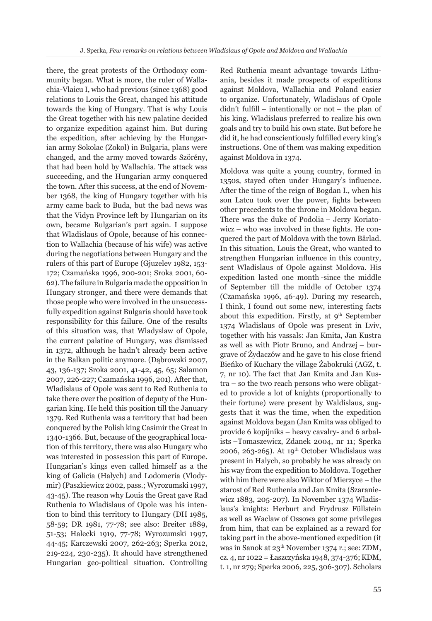there, the great protests of the Orthodoxy community began. What is more, the ruler of Wallachia-Vlaicu I, who had previous (since 1368) good relations to Louis the Great, changed his attitude towards the king of Hungary. That is why Louis the Great together with his new palatine decided to organize expedition against him. But during the expedition, after achieving by the Hungarian army Sokolac (Zokol) in Bulgaria, plans were changed, and the army moved towards Szörény, that had been hold by Wallachia. The attack was succeeding, and the Hungarian army conquered the town. After this success, at the end of November 1368, the king of Hungary together with his army came back to Buda, but the bad news was that the Vidyn Province left by Hungarian on its own, became Bulgarian's part again. I suppose that Wladislaus of Opole, because of his connection to Wallachia (because of his wife) was active during the negotiations between Hungary and the rulers of this part of Europe (Gjuzelev 1982, 153- 172; Czamańska 1996, 200-201; Sroka 2001, 60- 62). The failure in Bulgaria made the opposition in Hungary stronger, and there were demands that those people who were involved in the unsuccessfully expedition against Bulgaria should have took responsibility for this failure. One of the results of this situation was, that Wladyslaw of Opole, the current palatine of Hungary, was dismissed in 1372, although he hadn't already been active in the Balkan politic anymore. (Dąbrowski 2007, 43, 136-137; Sroka 2001, 41-42, 45, 65; Salamon 2007, 226-227; Czamańska 1996, 201). After that, Wladislaus of Opole was sent to Red Ruthenia to take there over the position of deputy of the Hungarian king. He held this position till the January 1379. Red Ruthenia was a territory that had been conquered by the Polish king Casimir the Great in 1340-1366. But, because of the geographical location of this territory, there was also Hungary who was interested in possession this part of Europe. Hungarian's kings even called himself as a the king of Galicia (Halych) and Lodomeria (Vlodymir) (Paszkiewicz 2002, pass.; Wyrozumski 1997, 43-45). The reason why Louis the Great gave Rad Ruthenia to Wladislaus of Opole was his intention to bind this territory to Hungary (DH 1985, 58-59; DR 1981, 77-78; see also: Breiter 1889, 51-53; Halecki 1919, 77-78; Wyrozumski 1997, 44-45; Karczewski 2007, 262-263; Sperka 2012, 219-224, 230-235). It should have strengthened Hungarian geo-political situation. Controlling Red Ruthenia meant advantage towards Lithuania, besides it made prospects of expeditions against Moldova, Wallachia and Poland easier to organize. Unfortunately, Wladislaus of Opole didn't fulfill – intentionally or not – the plan of his king. Wladislaus preferred to realize his own goals and try to build his own state. But before he did it, he had conscientiously fulfilled every king's instructions. One of them was making expedition against Moldova in 1374.

Moldova was quite a young country, formed in 1350s, stayed often under Hungary's influence. After the time of the reign of Bogdan I., when his son Latcu took over the power, fights between other precedents to the throne in Moldova began. There was the duke of Podolia – Jerzy Koriatowicz – who was involved in these fights. He conquered the part of Moldova with the town Bârlad. In this situation, Louis the Great, who wanted to strengthen Hungarian influence in this country, sent Wladislaus of Opole against Moldova. His expedition lasted one month -since the middle of September till the middle of October 1374 (Czamańska 1996, 46-49). During my research, I think, I found out some new, interesting facts about this expedition. Firstly, at  $9<sup>th</sup>$  September 1374 Wladislaus of Opole was present in Lviv, together with his vassals: Jan Kmita, Jan Kustra as well as with Piotr Bruno, and Andrzej – burgrave of Żydaczów and he gave to his close friend Bieńko of Kuchary the village Żabokruki (AGZ, t. 7, nr 10). The fact that Jan Kmita and Jan Kustra – so the two reach persons who were obligated to provide a lot of knights (proportionally to their fortune) were present by Waldislaus, suggests that it was the time, when the expedition against Moldova began (Jan Kmita was obliged to provide 6 kopijniks – heavy cavalry- and 6 arbalists –Tomaszewicz, Zdanek 2004, nr 11; Sperka 2006, 263-265). At  $19<sup>th</sup>$  October Wladislaus was present in Halych, so probably he was already on his way from the expedition to Moldova. Together with him there were also Wiktor of Mierzyce – the starost of Red Ruthenia and Jan Kmita (Szaraniewicz 1883, 205-207). In November 1374 Wladislaus's knights: Herburt and Frydrusz Füllstein as well as Waclaw of Ossowa got some privileges from him, that can be explained as a reward for taking part in the above-mentioned expedition (it was in Sanok at 23<sup>th</sup> November 1374 r.; see: ZDM, cz. 4, nr 1022 = Łaszczyńska 1948, 374-376; KDM, t. 1, nr 279; Sperka 2006*,* 225, 306-307). Scholars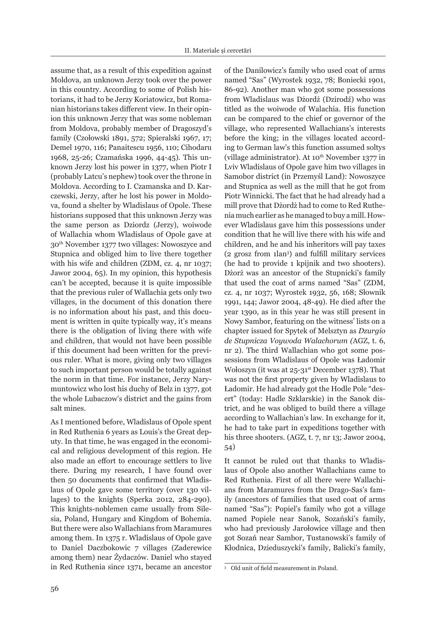assume that, as a result of this expedition against Moldova, an unknown Jerzy took over the power in this country. According to some of Polish historians, it had to be Jerzy Koriatowicz, but Romanian historians takes different view. In their opinion this unknown Jerzy that was some nobleman from Moldova, probably member of Dragoszyd's family (Czołowski 1891, 572; Spieralski 1967, 17; Demel 1970, 116; Panaitescu 1956, 110; Cihodaru 1968, 25-26; Czamańska 1996, 44-45). This unknown Jerzy lost his power in 1377, when Piotr I (probably Latcu's nephew) took over the throne in Moldova. According to I. Czamanska and D. Karczewski, Jerzy, after he lost his power in Moldova, found a shelter by Wladislaus of Opole. These historians supposed that this unknown Jerzy was the same person as Dziordz (Jerzy), woiwode of Wallachia whom Wladislaus of Opole gave at 30th November 1377 two villages: Nowoszyce and Stupnica and obliged him to live there together with his wife and children (ZDM, cz. 4, nr 1037; Jawor 2004, 65). In my opinion, this hypothesis can't be accepted, because it is quite impossible that the previous ruler of Wallachia gets only two villages, in the document of this donation there is no information about his past, and this document is written in quite typically way, it's means there is the obligation of living there with wife and children, that would not have been possible if this document had been written for the previous ruler. What is more, giving only two villages to such important person would be totally against the norm in that time. For instance, Jerzy Narymuntowicz who lost his duchy of Belz in 1377, got the whole Lubaczow's district and the gains from salt mines.

As I mentioned before, Wladislaus of Opole spent in Red Ruthenia 6 years as Louis's the Great deputy. In that time, he was engaged in the economical and religious development of this region. He also made an effort to encourage settlers to live there. During my research, I have found over then 50 documents that confirmed that Wladislaus of Opole gave some territory (over 130 villages) to the knights (Sperka 2012, 284-290). This knights-noblemen came usually from Silesia, Poland, Hungary and Kingdom of Bohemia. But there were also Wallachians from Maramures among them. In 1375 r. Wladislaus of Opole gave to Daniel Daczbokowic 7 villages (Zaderewice among them) near Żydaczów. Daniel who stayed in Red Ruthenia since 1371, became an ancestor

of the Danilowicz's family who used coat of arms named "Sas" (Wyrostek 1932, 78; Boniecki 1901, 86-92). Another man who got some possessions from Wladislaus was Dżordż (Dzirodź) who was titled as the woiwode of Walachia. His function can be compared to the chief or governor of the village, who represented Wallachians's interests before the king; in the villages located according to German law's this function assumed soltys (village administrator). At  $10^{th}$  November 1377 in Lviv Wladislaus of Opole gave him two villages in Samobor district (in Przemyśl Land): Nowoszyce and Stupnica as well as the mill that he got from Piotr Winnicki. The fact that he had already had a mill prove that Dżordż had to come to Red Ruthenia much earlier as he managed to buy a mill. However Wladislaus gave him this possessions under condition that he will live there with his wife and children, and he and his inheritors will pay taxes (2 grosz from 1lan3 ) and fulfill military services (he had to provide 1 kpijnik and two shooters). Dżorż was an ancestor of the Stupnicki's family that used the coat of arms named "Sas" (ZDM, cz. 4, nr 1037; Wyrostek 1932, 56, 168; Słownik 1991, 144; Jawor 2004, 48-49). He died after the year 1390, as in this year he was still present in Nowy Sambor, featuring on the witness' lists on a chapter issued for Spytek of Melsztyn as *Dzurgio de Stupnicza Voywoda Walachorum (*AGZ, t. 6, nr 2). The third Wallachian who got some possessions from Wladislaus of Opole was Ładomir Wołoszyn (it was at  $25-31$ <sup>st</sup> December 1378). That was not the first property given by Wladislaus to Ładomir. He had already got the Hodle Pole "desert" (today: Hadle Szklarskie) in the Sanok district, and he was obliged to build there a village according to Wallachian's law. In exchange for it, he had to take part in expeditions together with his three shooters. (AGZ, t. 7, nr 13; Jawor 2004, 54)

It cannot be ruled out that thanks to Wladislaus of Opole also another Wallachians came to Red Ruthenia. First of all there were Wallachians from Maramures from the Drago-Sas's family (ancestors of families that used coat of arms named "Sas"): Popiel's family who got a village named Popiele near Sanok, Sozański's family, who had previously Jarołowice village and then got Sozań near Sambor, Tustanowski's family of Kłodnica, Dzieduszycki's family, Balicki's family,

<sup>3</sup> Old unit of field measurement in Poland.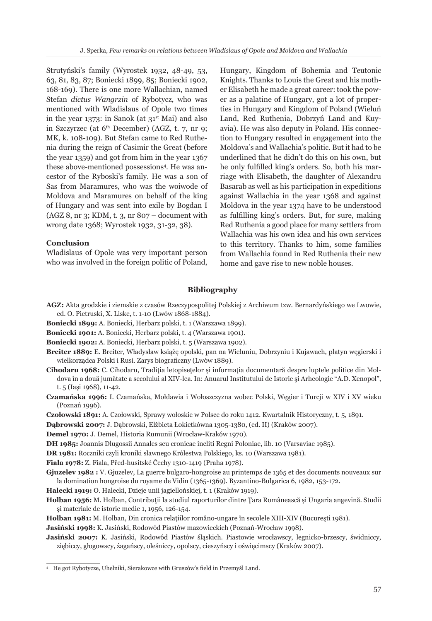Strutyński's family (Wyrostek 1932, 48-49, 53, 63, 81, 83, 87; Boniecki 1899, 85; Boniecki 1902, 168-169). There is one more Wallachian, named Stefan *dictus Wangrzin* of Rybotycz, who was mentioned with Wladislaus of Opole two times in the year 1373: in Sanok (at  $31<sup>st</sup>$  Mai) and also in Szczyrzec (at  $6<sup>th</sup>$  December) (AGZ, t. 7, nr 9; MK, k. 108-109). But Stefan came to Red Ruthenia during the reign of Casimir the Great (before the year 1359) and got from him in the year 1367 these above-mentioned possessions4 . He was ancestor of the Ryboski's family. He was a son of Sas from Maramures, who was the woiwode of Moldova and Maramures on behalf of the king of Hungary and was sent into exile by Bogdan I (AGZ 8, nr 3; KDM, t. 3, nr 807 – document with wrong date 1368; Wyrostek 1932, 31-32, 38).

#### **Conclusion**

Wladislaus of Opole was very important person who was involved in the foreign politic of Poland, Hungary, Kingdom of Bohemia and Teutonic Knights. Thanks to Louis the Great and his mother Elisabeth he made a great career: took the power as a palatine of Hungary, got a lot of properties in Hungary and Kingdom of Poland (Wieluń Land, Red Ruthenia, Dobrzyń Land and Kuyavia). He was also deputy in Poland. His connection to Hungary resulted in engagement into the Moldova's and Wallachia's politic. But it had to be underlined that he didn't do this on his own, but he only fulfilled king's orders. So, both his marriage with Elisabeth, the daughter of Alexandru Basarab as well as his participation in expeditions against Wallachia in the year 1368 and against Moldova in the year 1374 have to be understood as fulfilling king's orders. But, for sure, making Red Ruthenia a good place for many settlers from Wallachia was his own idea and his own services to this territory. Thanks to him, some families from Wallachia found in Red Ruthenia their new home and gave rise to new noble houses.

# **Bibliography**

- **AGZ:** Akta grodzkie i ziemskie z czasów Rzeczypospolitej Polskiej z Archiwum tzw. Bernardyńskiego we Lwowie, ed. O. Pietruski, X. Liske, t. 1-10 (Lwów 1868-1884).
- **Boniecki 1899:** A. Boniecki, Herbarz polski, t. 1 (Warszawa 1899).
- **Boniecki 1901:** A. Boniecki, Herbarz polski, t. 4 (Warszawa 1901).
- **Boniecki 1902:** A. Boniecki, Herbarz polski, t. 5 (Warszawa 1902).
- **Breiter 1889:** E. Breiter, Władysław książę opolski, pan na Wieluniu, Dobrzyniu i Kujawach, platyn węgierski i wielkorządca Polski i Rusi. Zarys biograficzny (Lwów 1889).
- **Cihodaru 1968:** C. Cihodaru, Tradiția letopisețelor și informația documentară despre luptele politice din Moldova în a două jumătate a secolului al XIV-lea. In: Anuarul Institutului de Istorie şi Arheologie "A.D. Xenopol", t. 5 (Iaşi 1968), 11-42.
- **Czamańska 1996:** I. Czamańska, Mołdawia i Wołoszczyzna wobec Polski, Węgier i Turcji w XIV i XV wieku (Poznań 1996).
- **Czołowski 1891:** A. Czołowski, Sprawy wołoskie w Polsce do roku 1412. Kwartalnik Historyczny, t. 5, 1891.
- **Dąbrowski 2007:** J. Dąbrowski, Elżbieta Łokietkówna 1305-1380, (ed. II) (Kraków 2007).

**Demel 1970:** J. Demel, Historia Rumunii (Wrocław-Kraków 1970).

- **DH 1985:** Joannis Dlugossii Annales seu cronicae incliti Regni Poloniae, lib. 10 (Varsaviae 1985).
- **DR 1981:** Roczniki czyli kroniki sławnego Królestwa Polskiego, ks. 10 (Warszawa 1981).

**Fiala 1978:** Z. Fiala, Před-husitské Čechy 1310-1419 (Praha 1978).

**Gjuzelev 1982 :** V. Gjuzelev, La guerre bulgaro-hongroise au printemps de 1365 et des documents nouveaux sur la domination hongroise du royame de Vidin (1365-1369). Byzantino-Bulgarica 6, 1982, 153-172.

**Halecki 1919:** O. Halecki, Dzieje unii jagiellońskiej, t. 1 (Kraków 1919).

- **Holban 1956:** M. Holban, Contribuţii la studiul raporturilor dintre Ţara Românească şi Ungaria angevină. Studii şi materiale de istorie medie 1, 1956, 126-154.
- **Holban 1981:** M. Holban, Din cronica relaţiilor româno-ungare în secolele XIII-XIV (Bucureşti 1981).

**Jasiński 1998:** K. Jasiński, Rodowód Piastów mazowieckich (Poznań-Wrocław 1998).

**Jasiński 2007:** K. Jasiński, Rodowód Piastów śląskich. Piastowie wrocławscy, legnicko-brzescy, świdniccy, ziębiccy, głogowscy, żagańscy, oleśniccy, opolscy, cieszyńscy i oświęcimscy (Kraków 2007).

<sup>4</sup> He got Rybotycze, Uhelniki, Sierakowce with Gruszów's field in Przemyśl Land.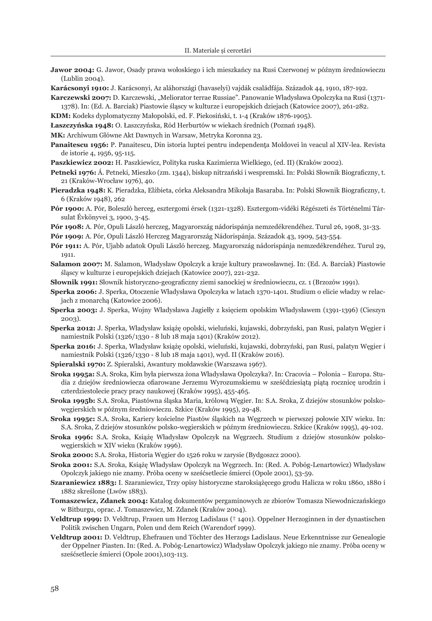**Jawor 2004:** G. Jawor, Osady prawa wołoskiego i ich mieszkańcy na Rusi Czerwonej w późnym średniowieczu (Lublin 2004).

**Karácsonyi 1910:** J. Karácsonyi, Az aláhországi (havaselyi) vajdák családfája. Századok 44, 1910, 187-192.

**Karczewski 2007:** D. Karczewski, "Meliorator terrae Russiae". Panowanie Władysława Opolczyka na Rusi (1371- 1378). In: (Ed. A. Barciak) Piastowie śląscy w kulturze i europejskich dziejach (Katowice 2007), 261-282.

**KDM:** Kodeks dyplomatyczny Małopolski, ed. F. Piekosiński, t. 1-4 (Kraków 1876-1905).

**Łaszczyńska 1948:** O. Łaszczyńska, Ród Herburtów w wiekach średnich (Poznań 1948).

**MK:** Archiwum Główne Akt Dawnych in Warsaw, Metryka Koronna 23.

**Panaitescu 1956:** P. Panaitescu, Din istoria luptei pentru independența Moldovei în veacul al XIV-lea. Revista de istorie 4, 1956, 95-115.

**Paszkiewicz 2002:** H. Paszkiewicz, Polityka ruska Kazimierza Wielkiego, (ed. II) (Kraków 2002).

**Petneki 1976:** Á. Petneki, Mieszko (zm. 1344), biskup nitrzański i wespremski. In: Polski Słownik Biograficzny, t. 21 (Kraków-Wrocław 1976), 40.

- **Pieradzka 1948:** K. Pieradzka, Elżbieta, córka Aleksandra Mikołaja Basaraba. In: Polski Słownik Biograficzny, t. 6 (Kraków 1948), 262
- **Pór 1900:** A. Pór, Boleszló herceg, esztergomi érsek (1321-1328). Esztergom-vidéki Régészeti és Történelmi Társulat Évkönyvei 3, 1900, 3-45.
- **Pór 1908:** A. Pór, Opuli László herczeg, Magyarország nádorispánja nemzedékrendéhez. Turul 26, 1908, 31-33.

**Pór 1909:** A. Pór, Opuli László Herczeg Magyarország Nádorispánja. Századok 43, 1909, 543-554.

- **Pór 1911:** A. Pór, Ujabb adatok Opuli László herczeg. Magyarország nádorispánja nemzedékrendéhez. Turul 29, 1911.
- **Salamon 2007:** M. Salamon, Władysław Opolczyk a kraje kultury prawosławnej. In: (Ed. A. Barciak) Piastowie śląscy w kulturze i europejskich dziejach (Katowice 2007), 221-232.

**Słownik 1991:** Słownik historyczno-geograficzny ziemi sanockiej w średniowieczu, cz. 1 (Brzozów 1991).

- **Sperka 2006:** J. Sperka, Otoczenie Władysława Opolczyka w latach 1370-1401. Studium o elicie władzy w relacjach z monarchą (Katowice 2006).
- **Sperka 2003:** J. Sperka, Wojny Władysława Jagiełły z księciem opolskim Władysławem (1391-1396) (Cieszyn 2003).
- **Sperka 2012:** J. Sperka, Władysław książę opolski, wieluński, kujawski, dobrzyński, pan Rusi, palatyn Węgier i namiestnik Polski (1326/1330 - 8 lub 18 maja 1401) (Kraków 2012).
- **Sperka 2016:** J. Sperka, Władysław książę opolski, wieluński, kujawski, dobrzyński, pan Rusi, palatyn Węgier i namiestnik Polski (1326/1330 - 8 lub 18 maja 1401), wyd. II (Kraków 2016).
- **Spieralski 1970:** Z. Spieralski, Awantury mołdawskie (Warszawa 1967).
- **Sroka 1995a:** S.A. Sroka, Kim była pierwsza żona Władysława Opolczyka?. In: Cracovia Polonia Europa. Studia z dziejów średniowiecza ofiarowane Jerzemu Wyrozumskiemu w sześćdziesiątą piątą rocznicę urodzin i czterdziestolecie pracy pracy naukowej (Kraków 1995), 455-465.
- **Sroka 1995b:** S.A. Sroka, Piastówna śląska Maria, królową Węgier. In: S.A. Sroka, Z dziejów stosunków polskowęgierskich w późnym średniowieczu. Szkice (Kraków 1995), 29-48.

**Sroka 1995c:** S.A. Sroka, Kariery kościelne Piastów śląskich na Węgrzech w pierwszej połowie XIV wieku. In: S.A. Sroka, Z dziejów stosunków polsko-węgierskich w późnym średniowieczu. Szkice (Kraków 1995), 49-102.

- **Sroka 1996:** S.A. Sroka, Książę Władysław Opolczyk na Węgrzech. Studium z dziejów stosunków polskowęgierskich w XIV wieku (Kraków 1996).
- **Sroka 2000:** S.A. Sroka, Historia Węgier do 1526 roku w zarysie (Bydgoszcz 2000).
- **Sroka 2001:** S.A. Sroka, Książę Władysław Opolczyk na Węgrzech. In: (Red. A. Pobóg-Lenartowicz) Władysław Opolczyk jakiego nie znamy. Próba oceny w sześćsetlecie śmierci (Opole 2001), 53-59.
- **Szaraniewicz 1883:** I. Szaraniewicz, Trzy opisy historyczne staroksiążęcego grodu Halicza w roku 1860, 1880 i 1882 skreślone (Lwów 1883).
- **Tomaszewicz, Zdanek 2004:** Katalog dokumentów pergaminowych ze zbiorów Tomasza Niewodniczańskiego w Bitburgu, oprac. J. Tomaszewicz, M. Zdanek (Kraków 2004).
- **Veldtrup 1999:** D. Veldtrup, Frauen um Herzog Ladislaus († 1401). Oppelner Herzoginnen in der dynastischen Politik zwischen Ungarn, Polen und dem Reich (Warendorf 1999).
- **Veldtrup 2001:** D. Veldtrup, Ehefrauen und Töchter des Herzogs Ladislaus. Neue Erkenntnisse zur Genealogie der Oppelner Piasten. In: (Red. A. Pobóg-Lenartowicz) Władysław Opolczyk jakiego nie znamy. Próba oceny w sześćsetlecie śmierci (Opole 2001),103-113.